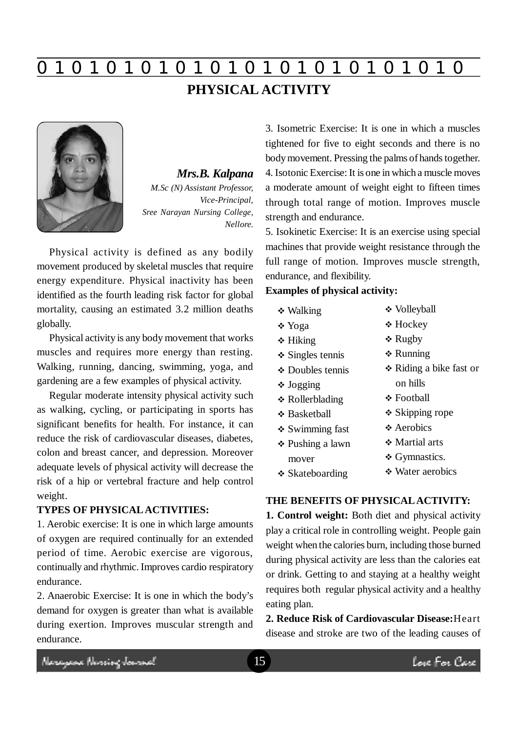**0 z 0 z 0 z 0 z 0 z 0 z 0 z 0 z 0 z 0 z 0 z 0 z 0**

# **PHYSICAL ACTIVITY**



*Mrs.B. Kalpana M.Sc (N) Assistant Professor, Vice-Principal, Sree Narayan Nursing College, Nellore.*

Physical activity is defined as any bodily movement produced by skeletal muscles that require energy expenditure. Physical inactivity has been identified as the fourth leading risk factor for global mortality, causing an estimated 3.2 million deaths globally.

Physical activity is any body movement that works muscles and requires more energy than resting. Walking, running, dancing, swimming, yoga, and gardening are a few examples of physical activity.

Regular moderate intensity physical activity such as walking, cycling, or participating in sports has significant benefits for health. For instance, it can reduce the risk of cardiovascular diseases, diabetes, colon and breast cancer, and depression. Moreover adequate levels of physical activity will decrease the risk of a hip or vertebral fracture and help control weight.

#### **TYPES OF PHYSICAL ACTIVITIES:**

1. Aerobic exercise: It is one in which large amounts of oxygen are required continually for an extended period of time. Aerobic exercise are vigorous, continually and rhythmic. Improves cardio respiratory endurance.

2. Anaerobic Exercise: It is one in which the body's demand for oxygen is greater than what is available during exertion. Improves muscular strength and endurance.

3. Isometric Exercise: It is one in which a muscles tightened for five to eight seconds and there is no body movement. Pressing the palms of hands together. 4. Isotonic Exercise: It is one in which a muscle moves a moderate amount of weight eight to fifteen times through total range of motion. Improves muscle strength and endurance.

5. Isokinetic Exercise: It is an exercise using special machines that provide weight resistance through the full range of motion. Improves muscle strength, endurance, and flexibility.

### **Examples of physical activity:**

- Walking
- Yoga
- **❖ Hiking**
- **❖** Singles tennis
- Doubles tennis
- Jogging
- Rollerblading
- **❖ Basketball**
- Swimming fast
- Pushing a lawn mover
- **❖ Skateboarding**
- Volleyball
- Hockey
- **❖ Rugby**
- **❖ Running**
- Riding a bike fast or on hills
- **❖ Football**
- $\div$  Skipping rope
- **❖** Aerobics
- **❖ Martial arts**
- ❖ Gymnastics.
- Water aerobics

#### **THE BENEFITS OF PHYSICAL ACTIVITY:**

**1. Control weight:** Both diet and physical activity play a critical role in controlling weight. People gain weight when the calories burn, including those burned during physical activity are less than the calories eat or drink. Getting to and staying at a healthy weight requires both regular physical activity and a healthy eating plan.

**2. Reduce Risk of Cardiovascular Disease:**Heart disease and stroke are two of the leading causes of